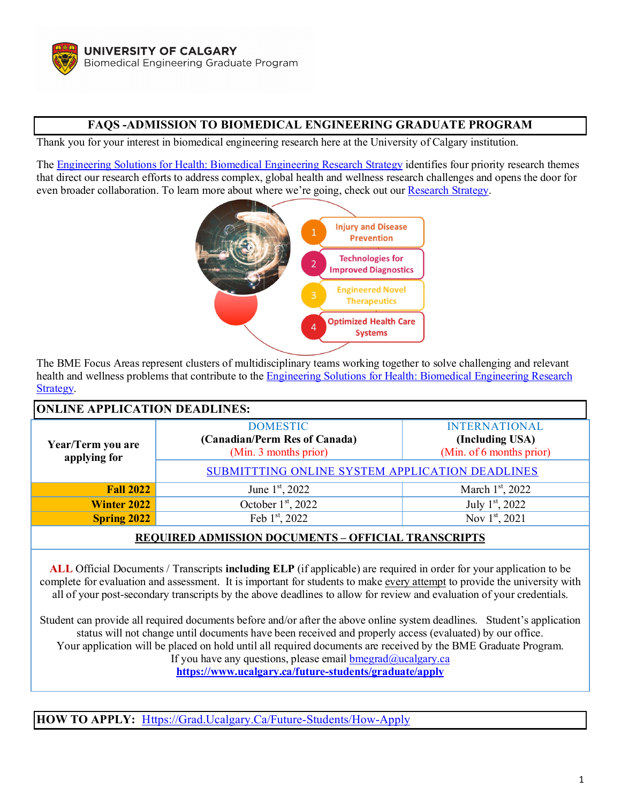# **FAQS -ADMISSION TO BIOMEDICAL ENGINEERING GRADUATE PROGRAM**

Thank you for your interest in biomedical engineering research here at the University of Calgary institution.

The [Engineering Solutions for Health: Biomedical Engineering Research Strategy](https://research.ucalgary.ca/bme/home?utm_campaign=redirect&utm_medium=redirect&utm_source=bme) identifies four priority research themes that direct our research efforts to address complex, global health and wellness research challenges and opens the door for even broader collaboration. To lea[rn more about where we're going, check out our](https://www.ucalgary.ca/bme/research) [Research Strategy.](https://research.ucalgary.ca/sites/default/files/BME/engineering-solutions-for-health-2015.pdf)



The BME Focus Areas represent clusters of multidisciplinary teams working together to solve challenging and relevant health and wellness problems that contribute to th[e Engineering Solutions for Health: Biomedical Engineering Research](https://ucalgary.ca/research/files/research/engineering-solutions-for-health-2015.pdf)  [Strategy.](https://ucalgary.ca/research/files/research/engineering-solutions-for-health-2015.pdf)

| <b>ONLINE APPLICATION DEADLINES:</b>                       |                                                                           |                                                                     |
|------------------------------------------------------------|---------------------------------------------------------------------------|---------------------------------------------------------------------|
| Year/Term you are<br>applying for                          | <b>DOMESTIC</b><br>(Canadian/Perm Res of Canada)<br>(Min. 3 months prior) | <b>INTERNATIONAL</b><br>(Including USA)<br>(Min. of 6 months prior) |
|                                                            | SUBMITTING ONLINE SYSTEM APPLICATION DEADLINES                            |                                                                     |
| <b>Fall 2022</b>                                           | June 1st, 2022                                                            | March $1st$ , 2022                                                  |
| <b>Winter 2022</b>                                         | October $1st$ , 2022                                                      | July 1 <sup>st</sup> , 2022                                         |
| <b>Spring 2022</b>                                         | Feb 1st, 2022                                                             | Nov 1st, 2021                                                       |
| <b>REQUIRED ADMISSION DOCUMENTS - OFFICIAL TRANSCRIPTS</b> |                                                                           |                                                                     |

**ALL** Official Documents / Transcripts **including ELP** (if applicable) are required in order for your application to be complete for evaluation and assessment. It is important for students to make every attempt to provide the university with all of your post-secondary transcripts by the above deadlines to allow for review and evaluation of your credentials.

Student can provide all required documents before and/or after the above online system deadlines. Student's application status will not change until documents have been received and properly access (evaluated) by our office. Your application will be placed on hold until all required documents are received by the BME Graduate Program. If you have any questions, please email  $bmegrad@ucalgary.ca$ **<https://www.ucalgary.ca/future-students/graduate/apply>**

**HOW TO APPLY:** [Https://Grad.Ucalgary.Ca/Future-Students/How-Apply](https://grad.ucalgary.ca/Future-Students/How-Apply)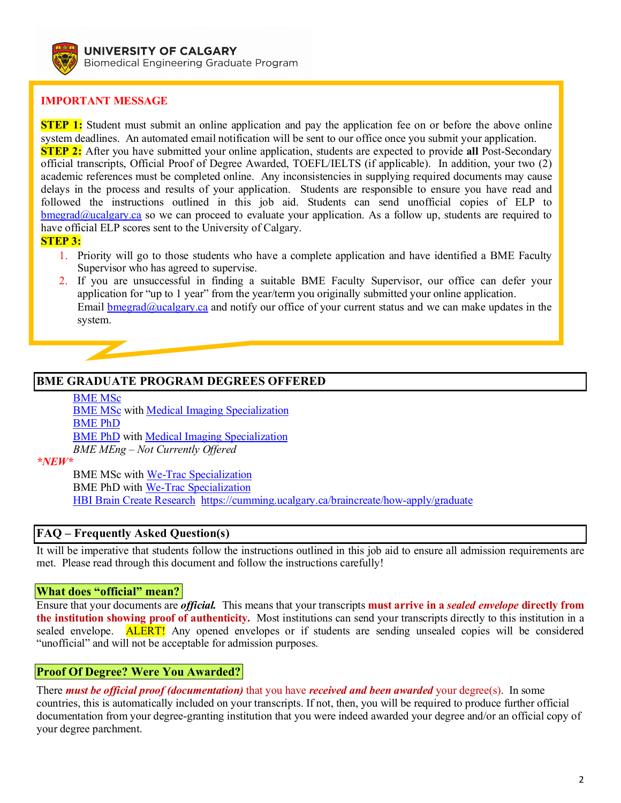

# **IMPORTANT MESSAGE**

**STEP 1:** Student must submit an online application and pay the application fee on or before the above online system deadlines. An automated email notification will be sent to our office once you submit your application. **STEP 2:** After you have submitted your online application, students are expected to provide **all** Post-Secondary official transcripts, Official Proof of Degree Awarded, TOEFL/IELTS (if applicable). In addition, your two (2) academic references must be completed online. Any inconsistencies in supplying required documents may cause delays in the process and results of your application. Students are responsible to ensure you have read and followed the instructions outlined in this job aid. Students can send unofficial copies of ELP to  $b$ megrad@ucalgary.ca so we can proceed to evaluate your application. As a follow up, students are required to have official ELP scores sent to the University of Calgary.

**STEP 3:**

- 1. Priority will go to those students who have a complete application and have identified a BME Faculty Supervisor who has agreed to supervise.
- 2. If you are unsuccessful in finding a suitable BME Faculty Supervisor, our office can defer your application for "up to 1 year" from the year/term you originally submitted your online application. Email [bmegrad@ucalgary.ca](mailto:bmegrad@ucalgary.ca) and notify our office of your current status and we can make updates in the system.

## **BME GRADUATE PROGRAM DEGREES OFFERED**

[BME MSc](https://www.ucalgary.ca/future-students/graduate/explore-programs/biomedical-engineering-master-engineering-thesis-based) **[BME MSc](https://www.ucalgary.ca/future-students/graduate/explore-programs/biomedical-engineering-master-engineering-thesis-based)** with **Medical Imaging Specialization** [BME PhD](https://www.ucalgary.ca/future-students/graduate/explore-programs/biomedical-engineering-doctor-philosophy-thesis-based) [BME PhD](https://www.ucalgary.ca/future-students/graduate/explore-programs/biomedical-engineering-doctor-philosophy-thesis-based) with [Medical Imaging Specialization](https://www.ucalgary.ca/i3t/Requirements%20for%20Specialization%20in%20Medical%20Imaging) *BME MEng – Not Currently Offered*

*\*NEW\**

BME MSc wit[h We-Trac Specialization](https://wetrac.ucalgary.ca/) BME PhD with [We-Trac Specialization](https://wetrac.ucalgary.ca/) [HBI Brain Create Research https://cumming.ucalgary.ca/braincreate/how-apply/graduate](https://cumming.ucalgary.ca/braincreate/how-apply/graduate)

## **FAQ – Frequently Asked Question(s)**

It will be imperative that students follow the instructions outlined in this job aid to ensure all admission requirements are met. Please read through this document and follow the instructions carefully!

## **What does "official" mean?**

Ensure that your documents are *official.* This means that your transcripts **must arrive in a** *sealed envelope* **directly from the institution showing proof of authenticity.** Most institutions can send your transcripts directly to this institution in a sealed envelope. **ALERT!** Any opened envelopes or if students are sending unsealed copies will be considered "unofficial" and will not be acceptable for admission purposes.

# **Proof Of Degree? Were You Awarded?**

There *must be official proof (documentation)* that you have *received and been awarded* your degree(s). In some countries, this is automatically included on your transcripts. If not, then, you will be required to produce further official documentation from your degree-granting institution that you were indeed awarded your degree and/or an official copy of your degree parchment.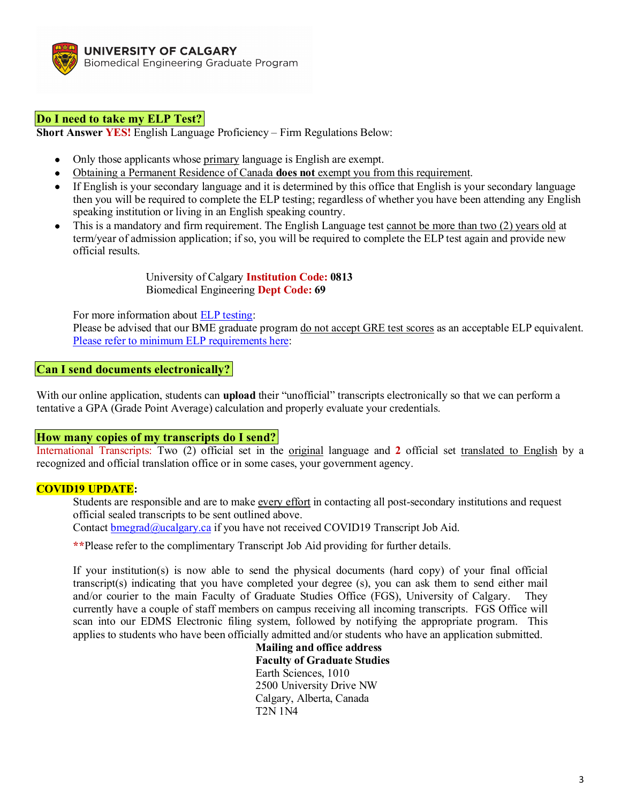

## **Do I need to take my ELP Test?**

**Short Answer YES!** English Language Proficiency – Firm Regulations Below:

- Only those applicants whose primary language is English are exempt.
- Obtaining a Permanent Residence of Canada **does not** exempt you from this requirement.
- If English is your secondary language and it is determined by this office that English is your secondary language then you will be required to complete the ELP testing; regardless of whether you have been attending any English speaking institution or living in an English speaking country.
- This is a mandatory and firm requirement. The English Language test cannot be more than two (2) years old at term/year of admission application; if so, you will be required to complete the ELP test again and provide new official results.

University of Calgary **Institution Code: 0813** Biomedical Engineering **Dept Code: 69**

For more information about [ELP testing:](http://grad.ucalgary.ca/prospective/admissions/ELP)

Please be advised that our BME graduate program <u>do not accept GRE test scores</u> as an acceptable ELP equivalent. [Please refer to minimum ELP requirements here:](https://grad.ucalgary.ca/future-students/how-apply)

#### **Can I send documents electronically?**

With our online application, students can **upload** their "unofficial" transcripts electronically so that we can perform a tentative a GPA (Grade Point Average) calculation and properly evaluate your credentials.

#### **How many copies of my transcripts do I send?**

International Transcripts: Two (2) official set in the original language and **2** official set translated to English by a recognized and official translation office or in some cases, your government agency.

#### **COVID19 UPDATE:**

Students are responsible and are to make every effort in contacting all post-secondary institutions and request official sealed transcripts to be sent outlined above.

Contact [bmegrad@ucalgary.ca](mailto:bmegrad@ucalgary.ca) if you have not received COVID19 Transcript Job Aid.

**\*\***Please refer to the complimentary Transcript Job Aid providing for further details.

If your institution(s) is now able to send the physical documents (hard copy) of your final official transcript(s) indicating that you have completed your degree (s), you can ask them to send either mail and/or courier to the main Faculty of Graduate Studies Office (FGS), University of Calgary. They currently have a couple of staff members on campus receiving all incoming transcripts. FGS Office will scan into our EDMS Electronic filing system, followed by notifying the appropriate program. This applies to students who have been officially admitted and/or students who have an application submitted.

> **Mailing and office address Faculty of Graduate Studies** Earth Sciences, 1010 2500 University Drive NW Calgary, Alberta, Canada T2N 1N4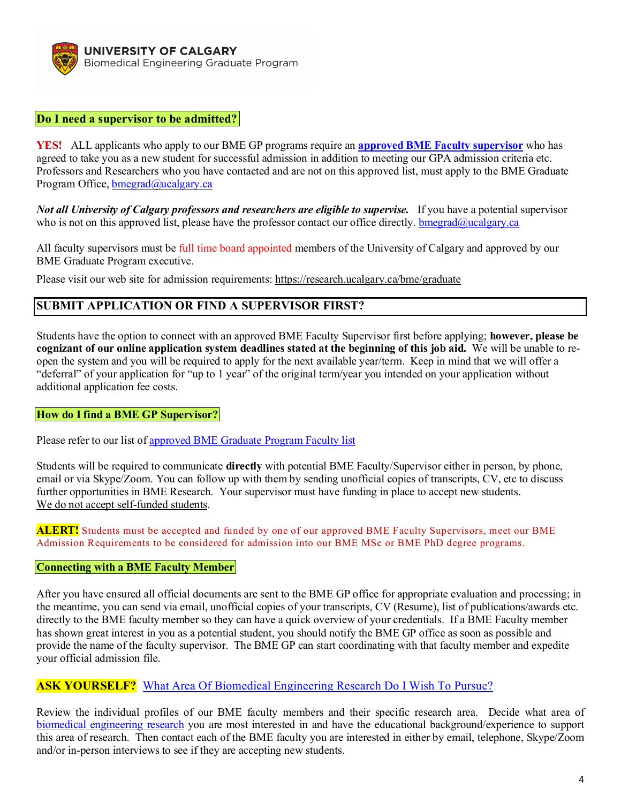

## **Do I need a supervisor to be admitted?**

**YES!** ALL applicants who apply to our BME GP programs require an **[approved BME Faculty supervisor](https://research.ucalgary.ca/bme/graduate)** who has agreed to take you as a new student for successful admission in addition to meeting our GPA admission criteria etc. Professors and Researchers who you have contacted and are not on this approved list, must apply to the BME Graduate Program Office, **bmegrad@ucalgary.ca** 

*Not all University of Calgary professors and researchers are eligible to supervise.* If you have a potential supervisor who is not on this approved list, please have the professor contact our office directly. [bmegrad@ucalgary.ca](mailto:bmegrad@ucalgary.ca)

All faculty supervisors must be full time board appointed members of the University of Calgary and approved by our BME Graduate Program executive.

Please visit our web site for admission requirements:<https://research.ucalgary.ca/bme/graduate>

## **SUBMIT APPLICATION OR FIND A SUPERVISOR FIRST?**

Students have the option to connect with an approved BME Faculty Supervisor first before applying; **however, please be cognizant of our online application system deadlines stated at the beginning of this job aid.** We will be unable to reopen the system and you will be required to apply for the next available year/term. Keep in mind that we will offer a "deferral" of your application for "up to 1 year" of the original term/year you intended on your application without additional application fee costs.

#### **How do I find a BME GP Supervisor?**

Please refer to our list of [approved BME Graduate Program Faculty list](https://research.ucalgary.ca/bme/graduate)

Students will be required to communicate **directly** with potential BME Faculty/Supervisor either in person, by phone, email or via Skype/Zoom. You can follow up with them by sending unofficial copies of transcripts, CV, etc to discuss further opportunities in BME Research. Your supervisor must have funding in place to accept new students. We do not accept self-funded students.

**ALERT!** Students must be accepted and funded by one of our approved BME Faculty Supervisors, meet our BME Admission Requirements to be considered for admission into our BME MSc or BME PhD degree programs.

#### **Connecting with a BME Faculty Member**

After you have ensured all official documents are sent to the BME GP office for appropriate evaluation and processing; in the meantime, you can send via email, unofficial copies of your transcripts, CV (Resume), list of publications/awards etc. directly to the BME faculty member so they can have a quick overview of your credentials. If a BME Faculty member has shown great interest in you as a potential student, you should notify the BME GP office as soon as possible and provide the name of the faculty supervisor. The BME GP can start coordinating with that faculty member and expedite your official admission file.

## **ASK YOURSELF?** [What Area Of Biomedical Engineering Research Do I Wish To Pursue?](https://research.ucalgary.ca/bme/graduate/future-students/bme-supervisors)

Review the individual profiles of our BME faculty members and their specific research area. Decide what area of [biomedical engineering research](https://research.ucalgary.ca/bme/graduate/future-students/bme-supervisors) you are most interested in and have the educational background/experience to support this area of research. Then contact each of the BME faculty you are interested in either by email, telephone, Skype/Zoom and/or in-person interviews to see if they are accepting new students.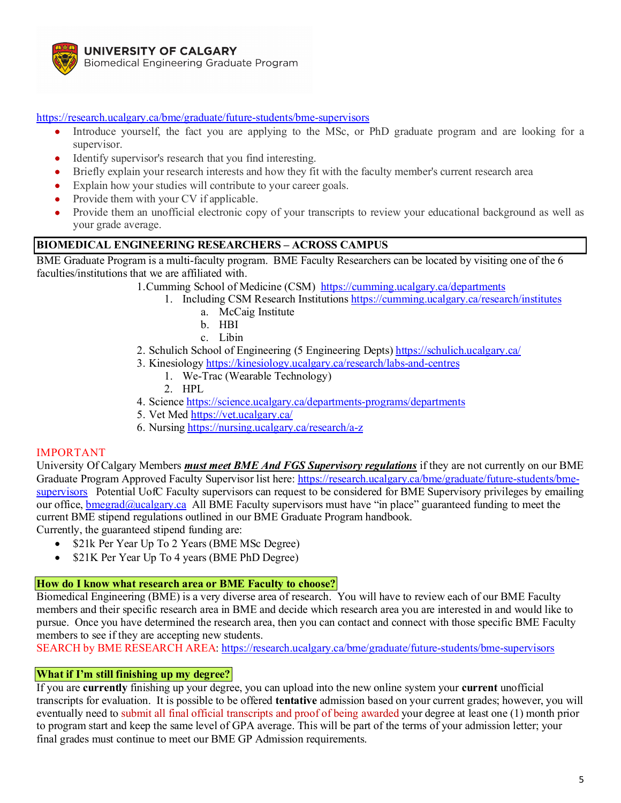

<https://research.ucalgary.ca/bme/graduate/future-students/bme-supervisors>

- Introduce yourself, the fact you are applying to the MSc, or PhD graduate program and are looking for a supervisor.
- Identify supervisor's research that you find interesting.
- Briefly explain your research interests and how they fit with the faculty member's current research area
- Explain how your studies will contribute to your career goals.
- Provide them with your CV if applicable.
- Provide them an unofficial electronic copy of your transcripts to review your educational background as well as your grade average.

## **BIOMEDICAL ENGINEERING RESEARCHERS – ACROSS CAMPUS**

BME Graduate Program is a multi-faculty program. BME Faculty Researchers can be located by visiting one of the 6 faculties/institutions that we are affiliated with.

1.Cumming School of Medicine (CSM) <https://cumming.ucalgary.ca/departments>

- 1. Including CSM Research Institutions<https://cumming.ucalgary.ca/research/institutes>
	- a. McCaig Institute
	- b. HBI
	- c. Libin
- 2. Schulich School of Engineering (5 Engineering Depts)<https://schulich.ucalgary.ca/>
- 3. Kinesiology<https://kinesiology.ucalgary.ca/research/labs-and-centres>
	- 1. We-Trac (Wearable Technology)
	- 2. HPL
- 4. Scienc[e https://science.ucalgary.ca/departments-programs/departments](https://science.ucalgary.ca/departments-programs/departments)
- 5. Vet Med<https://vet.ucalgary.ca/>
- 6. Nursing <https://nursing.ucalgary.ca/research/a-z>

#### IMPORTANT

University Of Calgary Members *must meet BME And FGS Supervisory regulations* if they are not currently on our BME Graduate Program Approved Faculty Supervisor list here[: https://research.ucalgary.ca/bme/graduate/future-students/bme](https://research.ucalgary.ca/bme/graduate/future-students/bme-supervisors)[supervisors](https://research.ucalgary.ca/bme/graduate/future-students/bme-supervisors) Potential UofC Faculty supervisors can request to be considered for BME Supervisory privileges by emailing our office, [bmegrad@ucalgary.ca](mailto:bmegrad@ucalgary.ca) All BME Faculty supervisors must have "in place" guaranteed funding to meet the current BME stipend regulations outlined in our BME Graduate Program handbook.

Currently, the guaranteed stipend funding are:

- \$21k Per Year Up To 2 Years (BME MSc Degree)
- \$21K Per Year Up To 4 years (BME PhD Degree)

## **How do I know what research area or BME Faculty to choose?**

Biomedical Engineering (BME) is a very diverse area of research. You will have to review each of our BME Faculty members and their specific research area in BME and decide which research area you are interested in and would like to pursue. Once you have determined the research area, then you can contact and connect with those specific BME Faculty members to see if they are accepting new students.

SEARCH by BME RESEARCH AREA:<https://research.ucalgary.ca/bme/graduate/future-students/bme-supervisors>

## **What if I'm still finishing up my degree?**

If you are **currently** finishing up your degree, you can upload into the new online system your **current** unofficial transcripts for evaluation. It is possible to be offered **tentative** admission based on your current grades; however, you will eventually need to submit all final official transcripts and proof of being awarded your degree at least one (1) month prior to program start and keep the same level of GPA average. This will be part of the terms of your admission letter; your final grades must continue to meet our BME GP Admission requirements.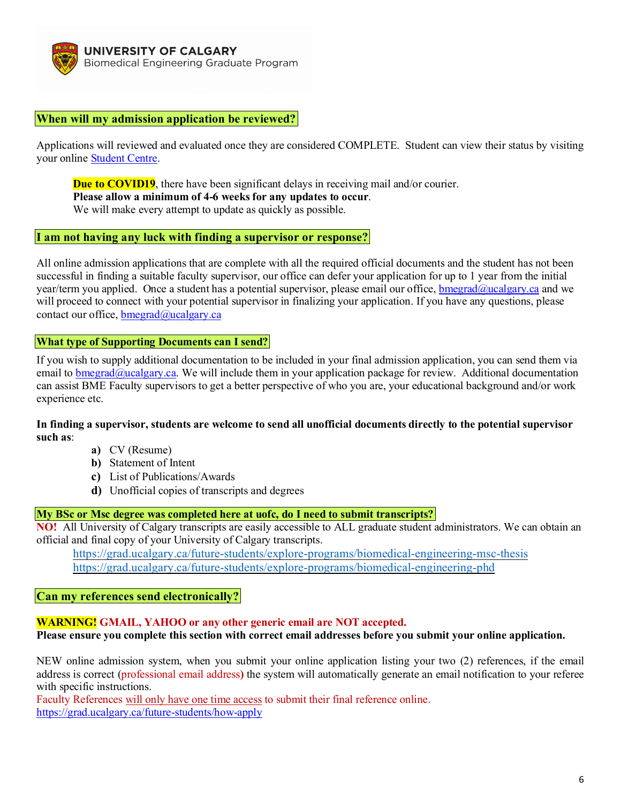

### **When will my admission application be reviewed?**

Applications will reviewed and evaluated once they are considered COMPLETE. Student can view their status by visiting your online [Student Centre.](https://grad.ucalgary.ca/sites/default/files/teams/3/checking-the-status-of-your-application_2019.pdf)

**Due to COVID19**, there have been significant delays in receiving mail and/or courier. **Please allow a minimum of 4-6 weeks for any updates to occur**. We will make every attempt to update as quickly as possible.

#### **I am not having any luck with finding a supervisor or response?**

All online admission applications that are complete with all the required official documents and the student has not been successful in finding a suitable faculty supervisor, our office can defer your application for up to 1 year from the initial year/term you applied. Once a student has a potential supervisor, please email our office[, bmegrad@ucalgary.ca](mailto:bmegrad@ucalgary.ca) and we will proceed to connect with your potential supervisor in finalizing your application. If you have any questions, please contact our office, [bmegrad@ucalgary.ca](mailto:bmegrad@ucalgary.ca)

#### **What type of Supporting Documents can I send?**

If you wish to supply additional documentation to be included in your final admission application, you can send them via email to [bmegrad@ucalgary.ca.](mailto:bmegrad@ucalgary.ca) We will include them in your application package for review. Additional documentation can assist BME Faculty supervisors to get a better perspective of who you are, your educational background and/or work experience etc.

**In finding a supervisor, students are welcome to send all unofficial documents directly to the potential supervisor such as**:

- **a)** CV (Resume)
- **b)** Statement of Intent
- **c)** List of Publications/Awards
- **d)** Unofficial copies of transcripts and degrees

#### **My BSc or Msc degree was completed here at uofc, do I need to submit transcripts?**

**NO!** All University of Calgary transcripts are easily accessible to ALL graduate student administrators. We can obtain an official and final copy of your University of Calgary transcripts.

<https://grad.ucalgary.ca/future-students/explore-programs/biomedical-engineering-msc-thesis> <https://grad.ucalgary.ca/future-students/explore-programs/biomedical-engineering-phd>

#### **Can my references send electronically?**

## **WARNING! GMAIL, YAHOO or any other generic email are NOT accepted.**

**Please ensure you complete this section with correct email addresses before you submit your online application.**

NEW online admission system, when you submit your online application listing your two (2) references, if the email address is correct (professional email address**)** the system will automatically generate an email notification to your referee with specific instructions.

Faculty References will only have one time access to submit their final reference online. <https://grad.ucalgary.ca/future-students/how-apply>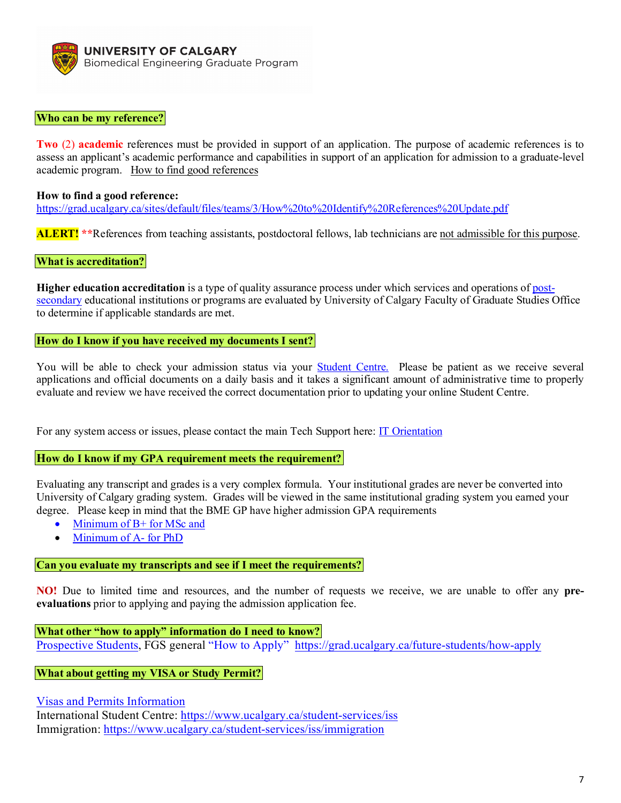

#### **Who can be my reference?**

**Two** (2) **academic** references must be provided in support of an application. The purpose of academic references is to assess an applicant's academic performance and capabilities in support of an application for admission to a graduate-level academic program. [How to find good references](https://grad.ucalgary.ca/sites/default/files/teams/3/How%20to%20Identify%20References%20Update.pdf)

#### **How to find a good reference:**

<https://grad.ucalgary.ca/sites/default/files/teams/3/How%20to%20Identify%20References%20Update.pdf>

**ALERT! \*\***References from teaching assistants, postdoctoral fellows, lab technicians are not admissible for this purpose.

#### **What is accreditation?**

**Higher education accreditation** is a type of quality assurance process under which services and operations of [post](https://en.wikipedia.org/wiki/Post-secondary)[secondary](https://en.wikipedia.org/wiki/Post-secondary) educational institutions or programs are evaluated by University of Calgary Faculty of Graduate Studies Office to determine if applicable standards are met.

#### **How do I know if you have received my documents I sent?**

You will be able to check your admission status via your **Student Centre.** Please be patient as we receive several applications and official documents on a daily basis and it takes a significant amount of administrative time to properly evaluate and review we have received the correct documentation prior to updating your online Student Centre.

For any system access or issues, please contact the main Tech Support here: [IT Orientation](https://ucalgary.service-now.com/it?id=kb_article&sys_id=86e7438013753ac06f3afbb2e144b031)

#### **How do I know if my GPA requirement meets the requirement?**

Evaluating any transcript and grades is a very complex formula. Your institutional grades are never be converted into University of Calgary grading system. Grades will be viewed in the same institutional grading system you earned your degree. Please keep in mind that the BME GP have higher admission GPA requirements

- [Minimum of B+ for MSc and](https://www.ucalgary.ca/pubs/calendar/grad/current/biomedical-engineering-bmen.html)
- [Minimum of A-](https://www.ucalgary.ca/pubs/calendar/grad/current/biomedical-engineering-bmen.html) for PhD

#### **Can you evaluate my transcripts and see if I meet the requirements?**

**NO!** Due to limited time and resources, and the number of requests we receive, we are unable to offer any **preevaluations** prior to applying and paying the admission application fee.

#### **What other "how to apply" information do I need to know?**

[Prospective Students,](https://grad.ucalgary.ca/future-students/explore-programs) FGS general ["How to Apply"](https://grad.ucalgary.ca/future-students/how-apply) <https://grad.ucalgary.ca/future-students/how-apply>

#### **What about getting my VISA or Study Permit?**

[Visas and Permits Information](https://ucalgary.ca/student-services/iss/immigration/study-permits)

International Student Centre:<https://www.ucalgary.ca/student-services/iss> Immigration:<https://www.ucalgary.ca/student-services/iss/immigration>